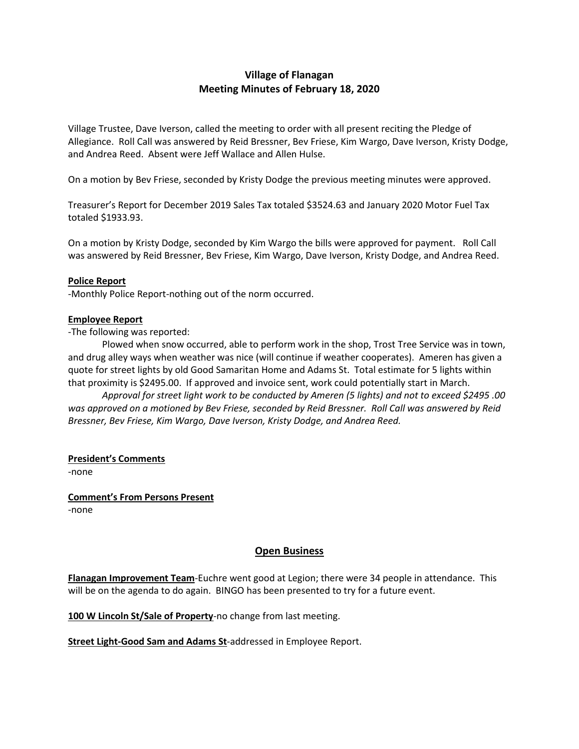# **Village of Flanagan Meeting Minutes of February 18, 2020**

Village Trustee, Dave Iverson, called the meeting to order with all present reciting the Pledge of Allegiance. Roll Call was answered by Reid Bressner, Bev Friese, Kim Wargo, Dave Iverson, Kristy Dodge, and Andrea Reed. Absent were Jeff Wallace and Allen Hulse.

On a motion by Bev Friese, seconded by Kristy Dodge the previous meeting minutes were approved.

Treasurer's Report for December 2019 Sales Tax totaled \$3524.63 and January 2020 Motor Fuel Tax totaled \$1933.93.

On a motion by Kristy Dodge, seconded by Kim Wargo the bills were approved for payment. Roll Call was answered by Reid Bressner, Bev Friese, Kim Wargo, Dave Iverson, Kristy Dodge, and Andrea Reed.

#### **Police Report**

-Monthly Police Report-nothing out of the norm occurred.

#### **Employee Report**

-The following was reported:

Plowed when snow occurred, able to perform work in the shop, Trost Tree Service was in town, and drug alley ways when weather was nice (will continue if weather cooperates). Ameren has given a quote for street lights by old Good Samaritan Home and Adams St. Total estimate for 5 lights within that proximity is \$2495.00. If approved and invoice sent, work could potentially start in March.

*Approval for street light work to be conducted by Ameren (5 lights) and not to exceed \$2495 .00 was approved on a motioned by Bev Friese, seconded by Reid Bressner. Roll Call was answered by Reid Bressner, Bev Friese, Kim Wargo, Dave Iverson, Kristy Dodge, and Andrea Reed.*

#### **President's Comments**

-none

**Comment's From Persons Present** -none

## **Open Business**

**Flanagan Improvement Team**-Euchre went good at Legion; there were 34 people in attendance. This will be on the agenda to do again. BINGO has been presented to try for a future event.

**100 W Lincoln St/Sale of Property**-no change from last meeting.

**Street Light-Good Sam and Adams St**-addressed in Employee Report.